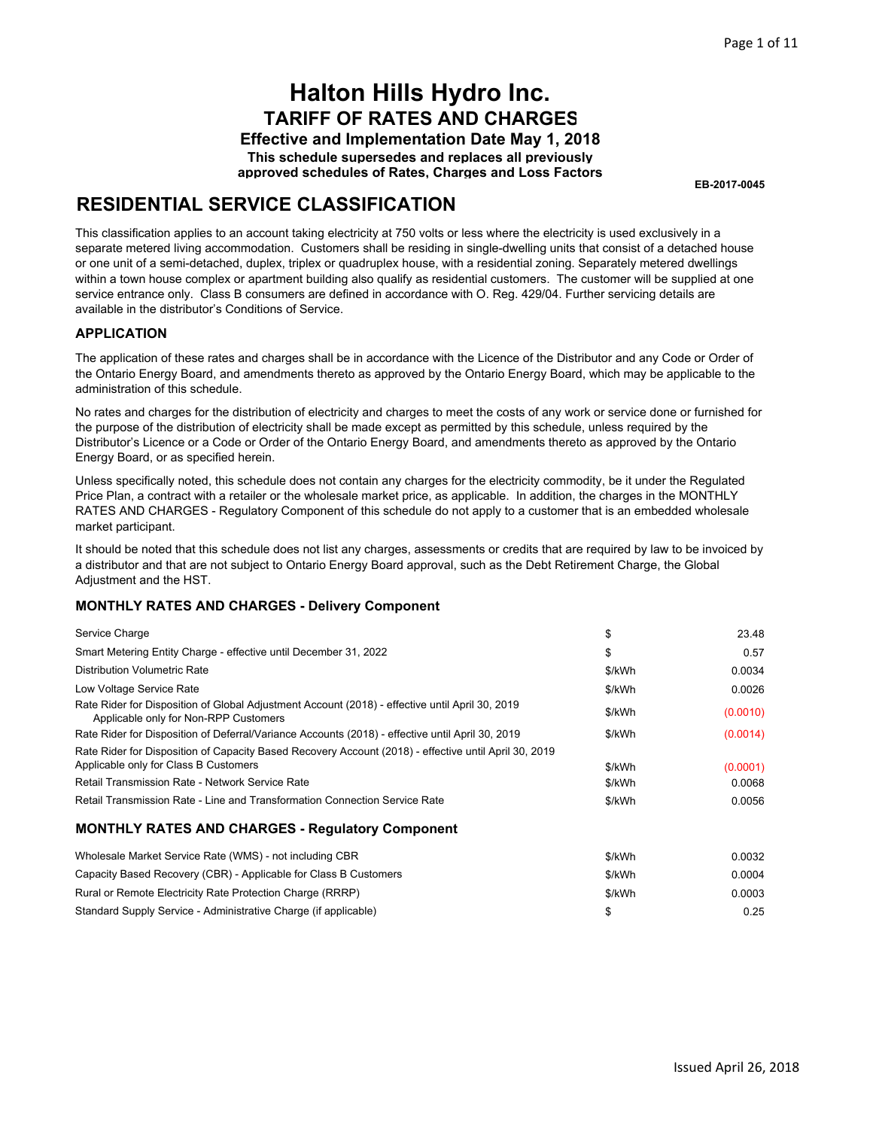**Effective and Implementation Date May 1, 2018 This schedule supersedes and replaces all previously approved schedules of Rates, Charges and Loss Factors**

**EB-2017-0045**

## **RESIDENTIAL SERVICE CLASSIFICATION**

This classification applies to an account taking electricity at 750 volts or less where the electricity is used exclusively in a separate metered living accommodation. Customers shall be residing in single-dwelling units that consist of a detached house or one unit of a semi-detached, duplex, triplex or quadruplex house, with a residential zoning. Separately metered dwellings within a town house complex or apartment building also qualify as residential customers. The customer will be supplied at one service entrance only. Class B consumers are defined in accordance with O. Reg. 429/04. Further servicing details are available in the distributor's Conditions of Service.

### **APPLICATION**

The application of these rates and charges shall be in accordance with the Licence of the Distributor and any Code or Order of the Ontario Energy Board, and amendments thereto as approved by the Ontario Energy Board, which may be applicable to the administration of this schedule.

No rates and charges for the distribution of electricity and charges to meet the costs of any work or service done or furnished for the purpose of the distribution of electricity shall be made except as permitted by this schedule, unless required by the Distributor's Licence or a Code or Order of the Ontario Energy Board, and amendments thereto as approved by the Ontario Energy Board, or as specified herein.

Unless specifically noted, this schedule does not contain any charges for the electricity commodity, be it under the Regulated Price Plan, a contract with a retailer or the wholesale market price, as applicable. In addition, the charges in the MONTHLY RATES AND CHARGES - Regulatory Component of this schedule do not apply to a customer that is an embedded wholesale market participant.

It should be noted that this schedule does not list any charges, assessments or credits that are required by law to be invoiced by a distributor and that are not subject to Ontario Energy Board approval, such as the Debt Retirement Charge, the Global Adjustment and the HST.

| Service Charge                                                                                                                                 | \$     | 23.48    |
|------------------------------------------------------------------------------------------------------------------------------------------------|--------|----------|
| Smart Metering Entity Charge - effective until December 31, 2022                                                                               | \$     | 0.57     |
| <b>Distribution Volumetric Rate</b>                                                                                                            | \$/kWh | 0.0034   |
| Low Voltage Service Rate                                                                                                                       | \$/kWh | 0.0026   |
| Rate Rider for Disposition of Global Adjustment Account (2018) - effective until April 30, 2019<br>Applicable only for Non-RPP Customers       | \$/kWh | (0.0010) |
| Rate Rider for Disposition of Deferral/Variance Accounts (2018) - effective until April 30, 2019                                               | \$/kWh | (0.0014) |
| Rate Rider for Disposition of Capacity Based Recovery Account (2018) - effective until April 30, 2019<br>Applicable only for Class B Customers | \$/kWh | (0.0001) |
| Retail Transmission Rate - Network Service Rate                                                                                                | \$/kWh | 0.0068   |
| Retail Transmission Rate - Line and Transformation Connection Service Rate                                                                     | \$/kWh | 0.0056   |
| <b>MONTHLY RATES AND CHARGES - Regulatory Component</b>                                                                                        |        |          |
|                                                                                                                                                |        |          |

| Wholesale Market Service Rate (WMS) - not including CBR          | \$/kWh | 0.0032 |
|------------------------------------------------------------------|--------|--------|
| Capacity Based Recovery (CBR) - Applicable for Class B Customers | \$/kWh | 0.0004 |
| Rural or Remote Electricity Rate Protection Charge (RRRP)        | \$/kWh | 0.0003 |
| Standard Supply Service - Administrative Charge (if applicable)  |        | 0.25   |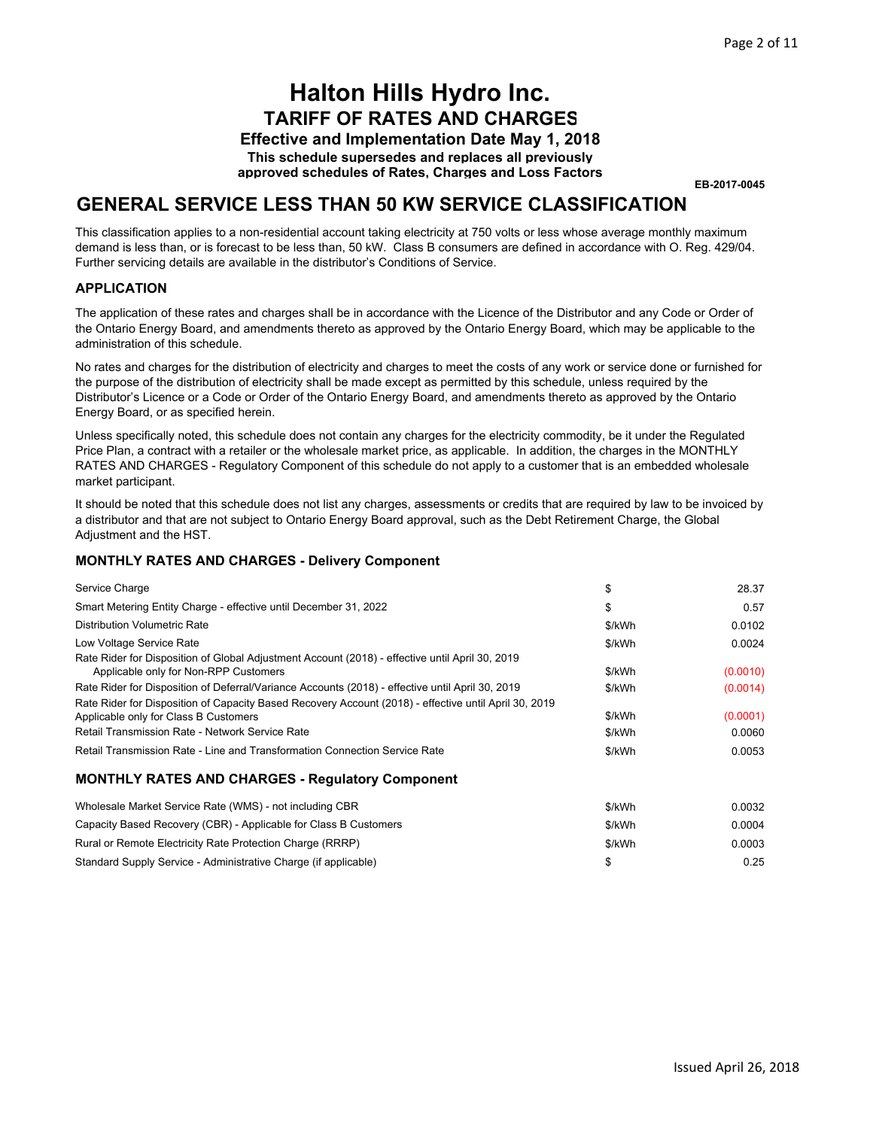**Effective and Implementation Date May 1, 2018 This schedule supersedes and replaces all previously approved schedules of Rates, Charges and Loss Factors**

**EB-2017-0045**

### **GENERAL SERVICE LESS THAN 50 KW SERVICE CLASSIFICATION**

This classification applies to a non-residential account taking electricity at 750 volts or less whose average monthly maximum demand is less than, or is forecast to be less than, 50 kW. Class B consumers are defined in accordance with O. Reg. 429/04. Further servicing details are available in the distributor's Conditions of Service.

### **APPLICATION**

The application of these rates and charges shall be in accordance with the Licence of the Distributor and any Code or Order of the Ontario Energy Board, and amendments thereto as approved by the Ontario Energy Board, which may be applicable to the administration of this schedule.

No rates and charges for the distribution of electricity and charges to meet the costs of any work or service done or furnished for the purpose of the distribution of electricity shall be made except as permitted by this schedule, unless required by the Distributor's Licence or a Code or Order of the Ontario Energy Board, and amendments thereto as approved by the Ontario Energy Board, or as specified herein.

Unless specifically noted, this schedule does not contain any charges for the electricity commodity, be it under the Regulated Price Plan, a contract with a retailer or the wholesale market price, as applicable. In addition, the charges in the MONTHLY RATES AND CHARGES - Regulatory Component of this schedule do not apply to a customer that is an embedded wholesale market participant.

It should be noted that this schedule does not list any charges, assessments or credits that are required by law to be invoiced by a distributor and that are not subject to Ontario Energy Board approval, such as the Debt Retirement Charge, the Global Adjustment and the HST.

#### **MONTHLY RATES AND CHARGES - Delivery Component**

| Service Charge                                                                                                                                                                                    | \$               | 28.37              |
|---------------------------------------------------------------------------------------------------------------------------------------------------------------------------------------------------|------------------|--------------------|
| Smart Metering Entity Charge - effective until December 31, 2022                                                                                                                                  | \$               | 0.57               |
| <b>Distribution Volumetric Rate</b>                                                                                                                                                               | \$/kWh           | 0.0102             |
| Low Voltage Service Rate                                                                                                                                                                          | \$/kWh           | 0.0024             |
| Rate Rider for Disposition of Global Adjustment Account (2018) - effective until April 30, 2019<br>Applicable only for Non-RPP Customers                                                          | \$/kWh           | (0.0010)           |
| Rate Rider for Disposition of Deferral/Variance Accounts (2018) - effective until April 30, 2019                                                                                                  | \$/kWh           | (0.0014)           |
| Rate Rider for Disposition of Capacity Based Recovery Account (2018) - effective until April 30, 2019<br>Applicable only for Class B Customers<br>Retail Transmission Rate - Network Service Rate | \$/kWh<br>\$/kWh | (0.0001)<br>0.0060 |
| Retail Transmission Rate - Line and Transformation Connection Service Rate                                                                                                                        | \$/kWh           | 0.0053             |
| <b>MONTHLY RATES AND CHARGES - Regulatory Component</b>                                                                                                                                           |                  |                    |
| Wholesale Market Service Rate (WMS) - not including CBR                                                                                                                                           | \$/kWh           | 0.0032             |
| Capacity Based Recovery (CBR) - Applicable for Class B Customers                                                                                                                                  | \$/kWh           | 0.0004             |
| Rural or Remote Electricity Rate Protection Charge (RRRP)                                                                                                                                         | \$/kWh           | 0.0003             |

\$/kWh 0.0003  $\sim$  0.25 Rural or Remote Electricity Rate Protection Charge (RRRP) Standard Supply Service - Administrative Charge (if applicable)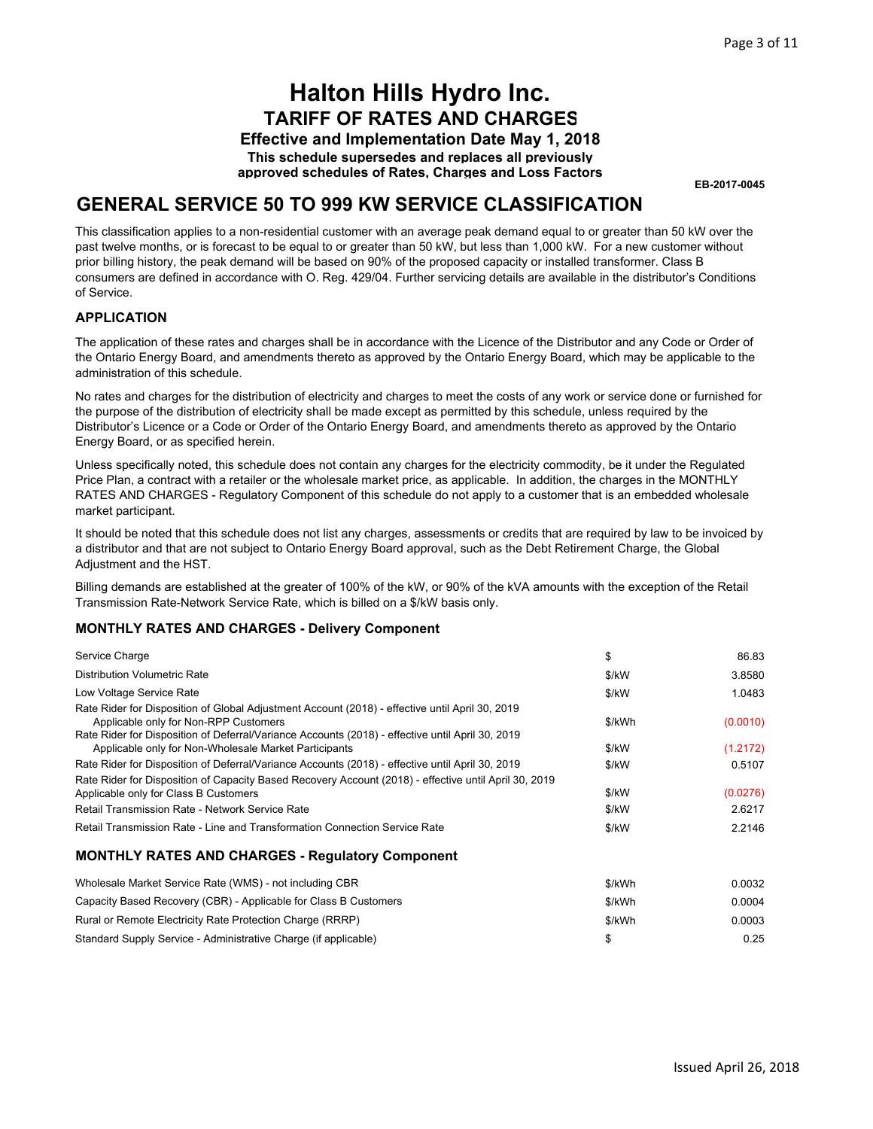**Effective and Implementation Date May 1, 2018 This schedule supersedes and replaces all previously approved schedules of Rates, Charges and Loss Factors**

**EB-2017-0045**

### **GENERAL SERVICE 50 TO 999 KW SERVICE CLASSIFICATION**

This classification applies to a non-residential customer with an average peak demand equal to or greater than 50 kW over the past twelve months, or is forecast to be equal to or greater than 50 kW, but less than 1,000 kW. For a new customer without prior billing history, the peak demand will be based on 90% of the proposed capacity or installed transformer. Class B consumers are defined in accordance with O. Reg. 429/04. Further servicing details are available in the distributor's Conditions of Service.

### **APPLICATION**

The application of these rates and charges shall be in accordance with the Licence of the Distributor and any Code or Order of the Ontario Energy Board, and amendments thereto as approved by the Ontario Energy Board, which may be applicable to the administration of this schedule.

No rates and charges for the distribution of electricity and charges to meet the costs of any work or service done or furnished for the purpose of the distribution of electricity shall be made except as permitted by this schedule, unless required by the Distributor's Licence or a Code or Order of the Ontario Energy Board, and amendments thereto as approved by the Ontario Energy Board, or as specified herein.

Unless specifically noted, this schedule does not contain any charges for the electricity commodity, be it under the Regulated Price Plan, a contract with a retailer or the wholesale market price, as applicable. In addition, the charges in the MONTHLY RATES AND CHARGES - Regulatory Component of this schedule do not apply to a customer that is an embedded wholesale market participant.

It should be noted that this schedule does not list any charges, assessments or credits that are required by law to be invoiced by a distributor and that are not subject to Ontario Energy Board approval, such as the Debt Retirement Charge, the Global Adjustment and the HST.

Billing demands are established at the greater of 100% of the kW, or 90% of the kVA amounts with the exception of the Retail Transmission Rate-Network Service Rate, which is billed on a \$/kW basis only.

| Service Charge                                                                                                                                                                                                                               | \$     | 86.83    |
|----------------------------------------------------------------------------------------------------------------------------------------------------------------------------------------------------------------------------------------------|--------|----------|
| <b>Distribution Volumetric Rate</b>                                                                                                                                                                                                          | \$/kW  | 3.8580   |
| Low Voltage Service Rate                                                                                                                                                                                                                     | \$/kW  | 1.0483   |
| Rate Rider for Disposition of Global Adjustment Account (2018) - effective until April 30, 2019<br>Applicable only for Non-RPP Customers<br>Rate Rider for Disposition of Deferral/Variance Accounts (2018) - effective until April 30, 2019 | \$/kWh | (0.0010) |
| Applicable only for Non-Wholesale Market Participants                                                                                                                                                                                        | \$/kW  | (1.2172) |
| Rate Rider for Disposition of Deferral/Variance Accounts (2018) - effective until April 30, 2019                                                                                                                                             | \$/kW  | 0.5107   |
| Rate Rider for Disposition of Capacity Based Recovery Account (2018) - effective until April 30, 2019                                                                                                                                        |        |          |
| Applicable only for Class B Customers                                                                                                                                                                                                        | \$/kW  | (0.0276) |
| Retail Transmission Rate - Network Service Rate                                                                                                                                                                                              | \$/kW  | 2.6217   |
| Retail Transmission Rate - Line and Transformation Connection Service Rate                                                                                                                                                                   | \$/kW  | 2.2146   |
| <b>MONTHLY RATES AND CHARGES - Regulatory Component</b>                                                                                                                                                                                      |        |          |
| Wholesale Market Service Rate (WMS) - not including CBR                                                                                                                                                                                      | \$/kWh | 0.0032   |
| Capacity Based Recovery (CBR) - Applicable for Class B Customers                                                                                                                                                                             | \$/kWh | 0.0004   |
| Rural or Remote Electricity Rate Protection Charge (RRRP)                                                                                                                                                                                    | \$/kWh | 0.0003   |
| Standard Supply Service - Administrative Charge (if applicable)                                                                                                                                                                              | \$     | 0.25     |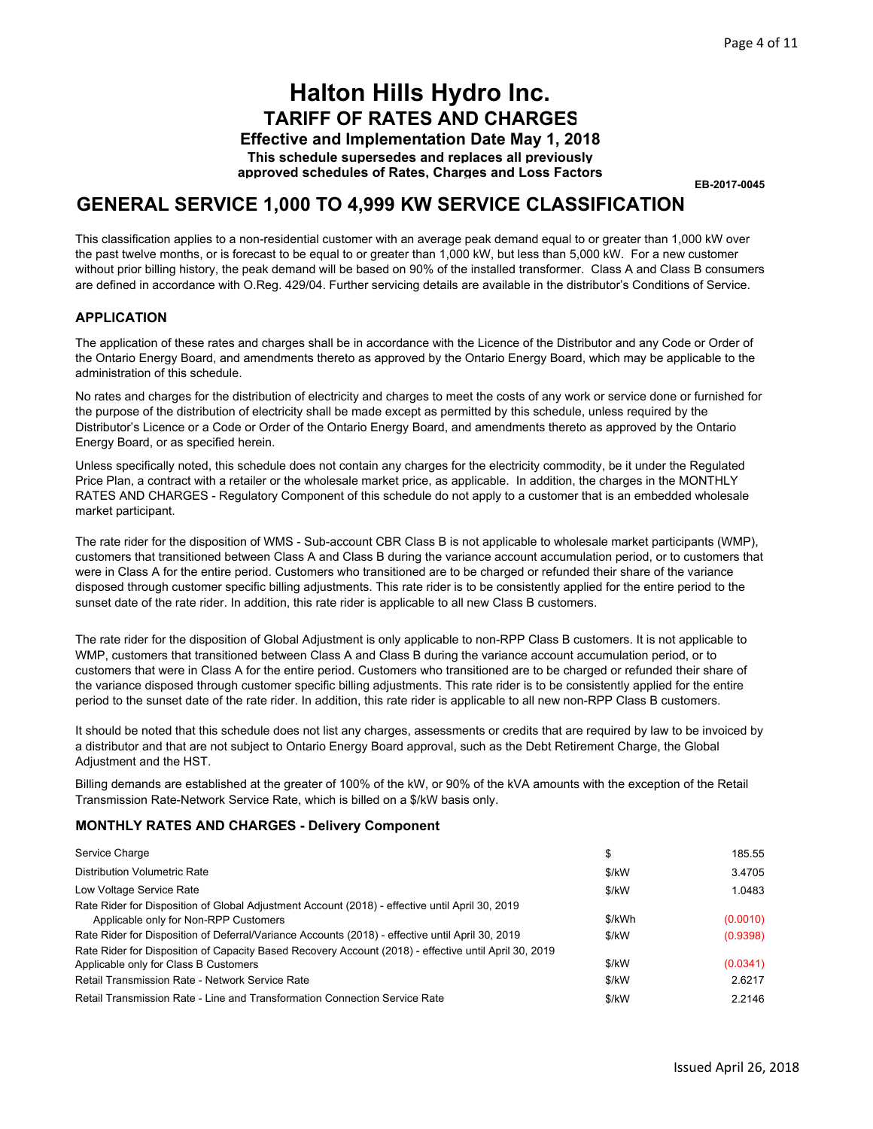**Effective and Implementation Date May 1, 2018 This schedule supersedes and replaces all previously approved schedules of Rates, Charges and Loss Factors**

**EB-2017-0045**

### **GENERAL SERVICE 1,000 TO 4,999 KW SERVICE CLASSIFICATION**

This classification applies to a non-residential customer with an average peak demand equal to or greater than 1,000 kW over the past twelve months, or is forecast to be equal to or greater than 1,000 kW, but less than 5,000 kW. For a new customer without prior billing history, the peak demand will be based on 90% of the installed transformer. Class A and Class B consumers are defined in accordance with O.Reg. 429/04. Further servicing details are available in the distributor's Conditions of Service.

### **APPLICATION**

The application of these rates and charges shall be in accordance with the Licence of the Distributor and any Code or Order of the Ontario Energy Board, and amendments thereto as approved by the Ontario Energy Board, which may be applicable to the administration of this schedule.

No rates and charges for the distribution of electricity and charges to meet the costs of any work or service done or furnished for the purpose of the distribution of electricity shall be made except as permitted by this schedule, unless required by the Distributor's Licence or a Code or Order of the Ontario Energy Board, and amendments thereto as approved by the Ontario Energy Board, or as specified herein.

Unless specifically noted, this schedule does not contain any charges for the electricity commodity, be it under the Regulated Price Plan, a contract with a retailer or the wholesale market price, as applicable. In addition, the charges in the MONTHLY RATES AND CHARGES - Regulatory Component of this schedule do not apply to a customer that is an embedded wholesale market participant.

The rate rider for the disposition of WMS - Sub-account CBR Class B is not applicable to wholesale market participants (WMP), customers that transitioned between Class A and Class B during the variance account accumulation period, or to customers that were in Class A for the entire period. Customers who transitioned are to be charged or refunded their share of the variance disposed through customer specific billing adjustments. This rate rider is to be consistently applied for the entire period to the sunset date of the rate rider. In addition, this rate rider is applicable to all new Class B customers.

The rate rider for the disposition of Global Adjustment is only applicable to non-RPP Class B customers. It is not applicable to WMP, customers that transitioned between Class A and Class B during the variance account accumulation period, or to customers that were in Class A for the entire period. Customers who transitioned are to be charged or refunded their share of the variance disposed through customer specific billing adjustments. This rate rider is to be consistently applied for the entire period to the sunset date of the rate rider. In addition, this rate rider is applicable to all new non-RPP Class B customers.

It should be noted that this schedule does not list any charges, assessments or credits that are required by law to be invoiced by a distributor and that are not subject to Ontario Energy Board approval, such as the Debt Retirement Charge, the Global Adjustment and the HST.

Billing demands are established at the greater of 100% of the kW, or 90% of the kVA amounts with the exception of the Retail Transmission Rate-Network Service Rate, which is billed on a \$/kW basis only.

| Service Charge                                                                                                                                 | \$      | 185.55   |
|------------------------------------------------------------------------------------------------------------------------------------------------|---------|----------|
| <b>Distribution Volumetric Rate</b>                                                                                                            | \$/kW   | 3.4705   |
| Low Voltage Service Rate                                                                                                                       | \$/kW   | 1.0483   |
| Rate Rider for Disposition of Global Adjustment Account (2018) - effective until April 30, 2019<br>Applicable only for Non-RPP Customers       | \$/kWh  | (0.0010) |
| Rate Rider for Disposition of Deferral/Variance Accounts (2018) - effective until April 30, 2019                                               | \$/kW   | (0.9398) |
| Rate Rider for Disposition of Capacity Based Recovery Account (2018) - effective until April 30, 2019<br>Applicable only for Class B Customers | \$/kW   | (0.0341) |
| <b>Retail Transmission Rate - Network Service Rate</b>                                                                                         | \$/kW   | 2.6217   |
| Retail Transmission Rate - Line and Transformation Connection Service Rate                                                                     | $$$ /kW | 2.2146   |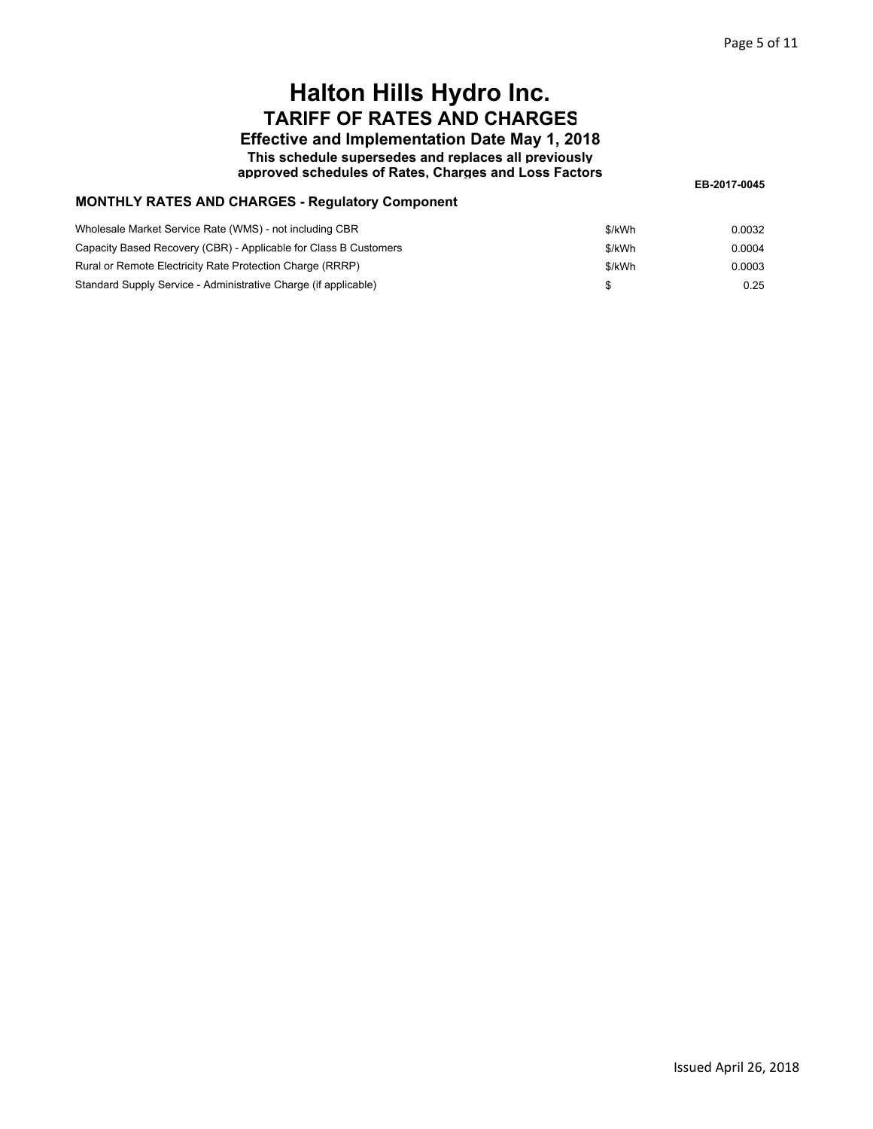**Effective and Implementation Date May 1, 2018 This schedule supersedes and replaces all previously**

**approved schedules of Rates, Charges and Loss Factors**

**EB-2017-0045**

### **MONTHLY RATES AND CHARGES - Regulatory Component**

| Wholesale Market Service Rate (WMS) - not including CBR          | \$/kWh | 0.0032 |
|------------------------------------------------------------------|--------|--------|
| Capacity Based Recovery (CBR) - Applicable for Class B Customers | \$/kWh | 0.0004 |
| Rural or Remote Electricity Rate Protection Charge (RRRP)        | \$/kWh | 0.0003 |
| Standard Supply Service - Administrative Charge (if applicable)  |        | 0.25   |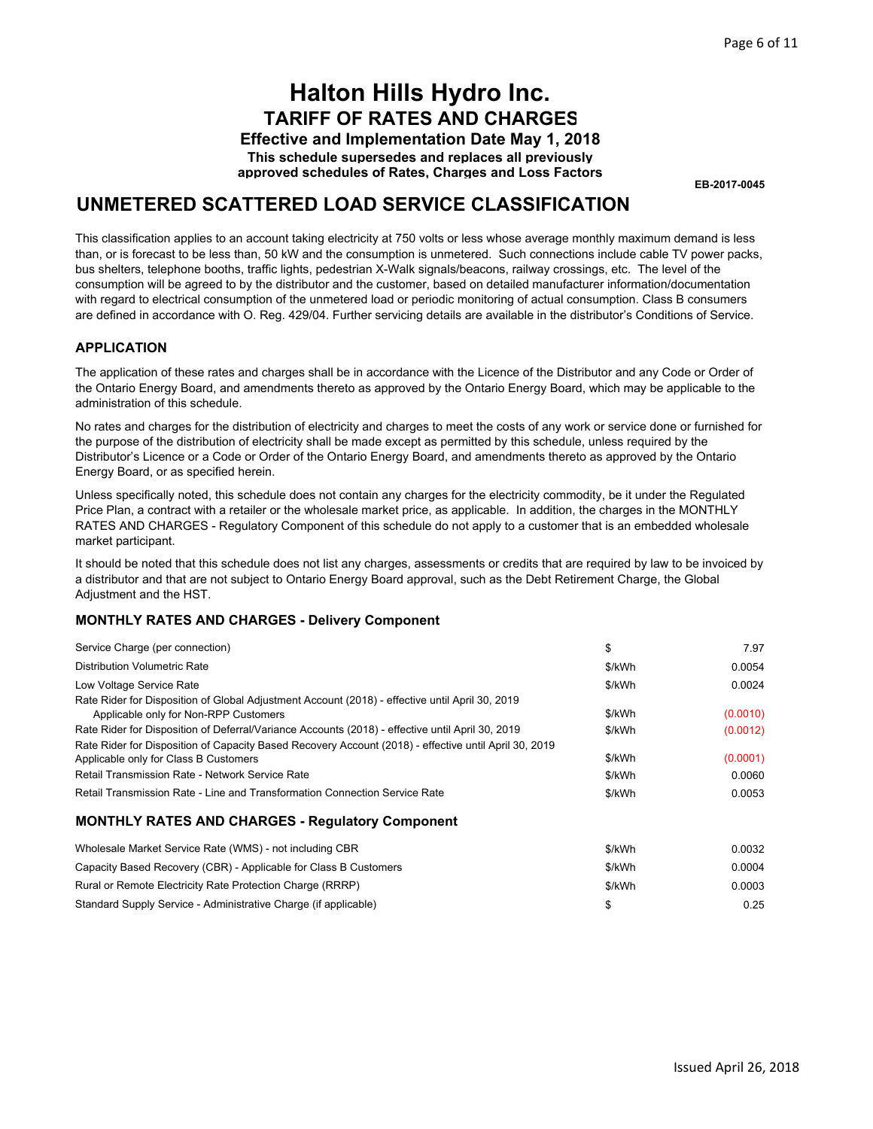**Effective and Implementation Date May 1, 2018 This schedule supersedes and replaces all previously approved schedules of Rates, Charges and Loss Factors**

**EB-2017-0045**

### **UNMETERED SCATTERED LOAD SERVICE CLASSIFICATION**

This classification applies to an account taking electricity at 750 volts or less whose average monthly maximum demand is less than, or is forecast to be less than, 50 kW and the consumption is unmetered. Such connections include cable TV power packs, bus shelters, telephone booths, traffic lights, pedestrian X-Walk signals/beacons, railway crossings, etc. The level of the consumption will be agreed to by the distributor and the customer, based on detailed manufacturer information/documentation with regard to electrical consumption of the unmetered load or periodic monitoring of actual consumption. Class B consumers are defined in accordance with O. Reg. 429/04. Further servicing details are available in the distributor's Conditions of Service.

### **APPLICATION**

The application of these rates and charges shall be in accordance with the Licence of the Distributor and any Code or Order of the Ontario Energy Board, and amendments thereto as approved by the Ontario Energy Board, which may be applicable to the administration of this schedule.

No rates and charges for the distribution of electricity and charges to meet the costs of any work or service done or furnished for the purpose of the distribution of electricity shall be made except as permitted by this schedule, unless required by the Distributor's Licence or a Code or Order of the Ontario Energy Board, and amendments thereto as approved by the Ontario Energy Board, or as specified herein.

Unless specifically noted, this schedule does not contain any charges for the electricity commodity, be it under the Regulated Price Plan, a contract with a retailer or the wholesale market price, as applicable. In addition, the charges in the MONTHLY RATES AND CHARGES - Regulatory Component of this schedule do not apply to a customer that is an embedded wholesale market participant.

It should be noted that this schedule does not list any charges, assessments or credits that are required by law to be invoiced by a distributor and that are not subject to Ontario Energy Board approval, such as the Debt Retirement Charge, the Global Adjustment and the HST.

| Service Charge (per connection)                                                                                                                | \$     | 7.97     |
|------------------------------------------------------------------------------------------------------------------------------------------------|--------|----------|
| <b>Distribution Volumetric Rate</b>                                                                                                            | \$/kWh | 0.0054   |
| Low Voltage Service Rate                                                                                                                       | \$/kWh | 0.0024   |
| Rate Rider for Disposition of Global Adjustment Account (2018) - effective until April 30, 2019<br>Applicable only for Non-RPP Customers       | \$/kWh | (0.0010) |
| Rate Rider for Disposition of Deferral/Variance Accounts (2018) - effective until April 30, 2019                                               | \$/kWh | (0.0012) |
| Rate Rider for Disposition of Capacity Based Recovery Account (2018) - effective until April 30, 2019<br>Applicable only for Class B Customers | \$/kWh | (0.0001) |
| Retail Transmission Rate - Network Service Rate                                                                                                | \$/kWh | 0.0060   |
| Retail Transmission Rate - Line and Transformation Connection Service Rate                                                                     | \$/kWh | 0.0053   |
| <b>MONTHLY RATES AND CHARGES - Regulatory Component</b>                                                                                        |        |          |
| Wholesale Market Service Rate (WMS) - not including CBR                                                                                        | \$/kWh | 0.0032   |
| Capacity Based Recovery (CBR) - Applicable for Class B Customers                                                                               | \$/kWh | 0.0004   |
| Rural or Remote Electricity Rate Protection Charge (RRRP)                                                                                      | \$/kWh | 0.0003   |
| Standard Supply Service - Administrative Charge (if applicable)                                                                                | \$     | 0.25     |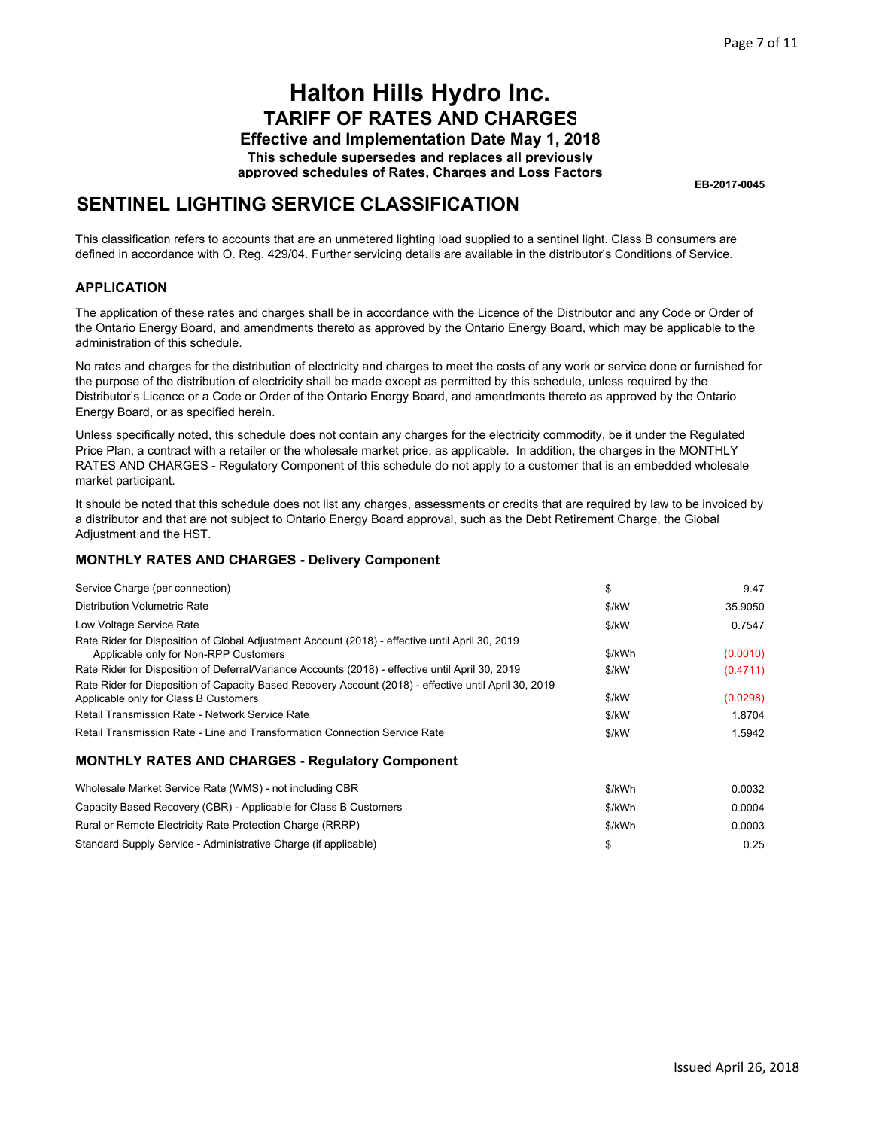**Effective and Implementation Date May 1, 2018 This schedule supersedes and replaces all previously approved schedules of Rates, Charges and Loss Factors**

**EB-2017-0045**

## **SENTINEL LIGHTING SERVICE CLASSIFICATION**

This classification refers to accounts that are an unmetered lighting load supplied to a sentinel light. Class B consumers are defined in accordance with O. Reg. 429/04. Further servicing details are available in the distributor's Conditions of Service.

### **APPLICATION**

The application of these rates and charges shall be in accordance with the Licence of the Distributor and any Code or Order of the Ontario Energy Board, and amendments thereto as approved by the Ontario Energy Board, which may be applicable to the administration of this schedule.

No rates and charges for the distribution of electricity and charges to meet the costs of any work or service done or furnished for the purpose of the distribution of electricity shall be made except as permitted by this schedule, unless required by the Distributor's Licence or a Code or Order of the Ontario Energy Board, and amendments thereto as approved by the Ontario Energy Board, or as specified herein.

Unless specifically noted, this schedule does not contain any charges for the electricity commodity, be it under the Regulated Price Plan, a contract with a retailer or the wholesale market price, as applicable. In addition, the charges in the MONTHLY RATES AND CHARGES - Regulatory Component of this schedule do not apply to a customer that is an embedded wholesale market participant.

It should be noted that this schedule does not list any charges, assessments or credits that are required by law to be invoiced by a distributor and that are not subject to Ontario Energy Board approval, such as the Debt Retirement Charge, the Global Adjustment and the HST.

| Service Charge (per connection)                                                                                                                | \$     | 9.47     |
|------------------------------------------------------------------------------------------------------------------------------------------------|--------|----------|
| Distribution Volumetric Rate                                                                                                                   | \$/kW  | 35.9050  |
| Low Voltage Service Rate                                                                                                                       | \$/kW  | 0.7547   |
| Rate Rider for Disposition of Global Adjustment Account (2018) - effective until April 30, 2019<br>Applicable only for Non-RPP Customers       | \$/kWh | (0.0010) |
| Rate Rider for Disposition of Deferral/Variance Accounts (2018) - effective until April 30, 2019                                               | \$/kW  | (0.4711) |
| Rate Rider for Disposition of Capacity Based Recovery Account (2018) - effective until April 30, 2019<br>Applicable only for Class B Customers | \$/kW  | (0.0298) |
| Retail Transmission Rate - Network Service Rate                                                                                                | \$/kW  | 1.8704   |
| Retail Transmission Rate - Line and Transformation Connection Service Rate                                                                     | \$/kW  | 1.5942   |
| <b>MONTHLY RATES AND CHARGES - Regulatory Component</b>                                                                                        |        |          |
| Wholesale Market Service Rate (WMS) - not including CBR                                                                                        | \$/kWh | 0.0032   |
| Capacity Based Recovery (CBR) - Applicable for Class B Customers                                                                               | \$/kWh | 0.0004   |
| Rural or Remote Electricity Rate Protection Charge (RRRP)                                                                                      | \$/kWh | 0.0003   |
| Standard Supply Service - Administrative Charge (if applicable)                                                                                | \$     | 0.25     |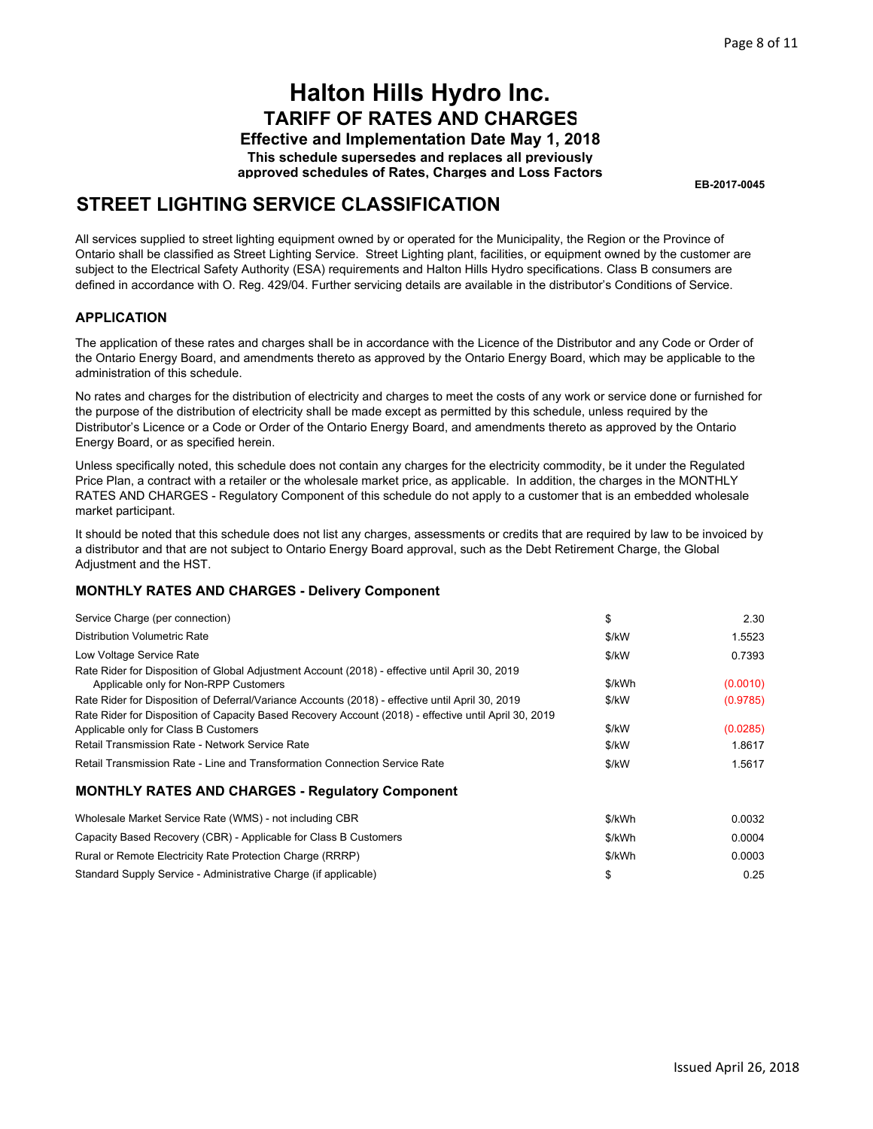**Effective and Implementation Date May 1, 2018 This schedule supersedes and replaces all previously approved schedules of Rates, Charges and Loss Factors**

**EB-2017-0045**

## **STREET LIGHTING SERVICE CLASSIFICATION**

All services supplied to street lighting equipment owned by or operated for the Municipality, the Region or the Province of Ontario shall be classified as Street Lighting Service. Street Lighting plant, facilities, or equipment owned by the customer are subject to the Electrical Safety Authority (ESA) requirements and Halton Hills Hydro specifications. Class B consumers are defined in accordance with O. Reg. 429/04. Further servicing details are available in the distributor's Conditions of Service.

### **APPLICATION**

The application of these rates and charges shall be in accordance with the Licence of the Distributor and any Code or Order of the Ontario Energy Board, and amendments thereto as approved by the Ontario Energy Board, which may be applicable to the administration of this schedule.

No rates and charges for the distribution of electricity and charges to meet the costs of any work or service done or furnished for the purpose of the distribution of electricity shall be made except as permitted by this schedule, unless required by the Distributor's Licence or a Code or Order of the Ontario Energy Board, and amendments thereto as approved by the Ontario Energy Board, or as specified herein.

Unless specifically noted, this schedule does not contain any charges for the electricity commodity, be it under the Regulated Price Plan, a contract with a retailer or the wholesale market price, as applicable. In addition, the charges in the MONTHLY RATES AND CHARGES - Regulatory Component of this schedule do not apply to a customer that is an embedded wholesale market participant.

It should be noted that this schedule does not list any charges, assessments or credits that are required by law to be invoiced by a distributor and that are not subject to Ontario Energy Board approval, such as the Debt Retirement Charge, the Global Adjustment and the HST.

### **MONTHLY RATES AND CHARGES - Delivery Component**

Standard Supply Service - Administrative Charge (if applicable)

| Service Charge (per connection)                                                                                                                                                                   | \$             | 2.30               |
|---------------------------------------------------------------------------------------------------------------------------------------------------------------------------------------------------|----------------|--------------------|
| Distribution Volumetric Rate                                                                                                                                                                      | \$/kW          | 1.5523             |
| Low Voltage Service Rate                                                                                                                                                                          | \$/kW          | 0.7393             |
| Rate Rider for Disposition of Global Adjustment Account (2018) - effective until April 30, 2019<br>Applicable only for Non-RPP Customers                                                          | \$/kWh         | (0.0010)           |
| Rate Rider for Disposition of Deferral/Variance Accounts (2018) - effective until April 30, 2019                                                                                                  | \$/kW          | (0.9785)           |
| Rate Rider for Disposition of Capacity Based Recovery Account (2018) - effective until April 30, 2019<br>Applicable only for Class B Customers<br>Retail Transmission Rate - Network Service Rate | \$/kW<br>\$/kW | (0.0285)<br>1.8617 |
| Retail Transmission Rate - Line and Transformation Connection Service Rate                                                                                                                        | \$/kW          | 1.5617             |
| <b>MONTHLY RATES AND CHARGES - Regulatory Component</b>                                                                                                                                           |                |                    |
| Wholesale Market Service Rate (WMS) - not including CBR                                                                                                                                           | \$/kWh         | 0.0032             |
| Capacity Based Recovery (CBR) - Applicable for Class B Customers                                                                                                                                  | \$/kWh         | 0.0004             |
| Rural or Remote Electricity Rate Protection Charge (RRRP)                                                                                                                                         | \$/kWh         | 0.0003             |

\$ 0.25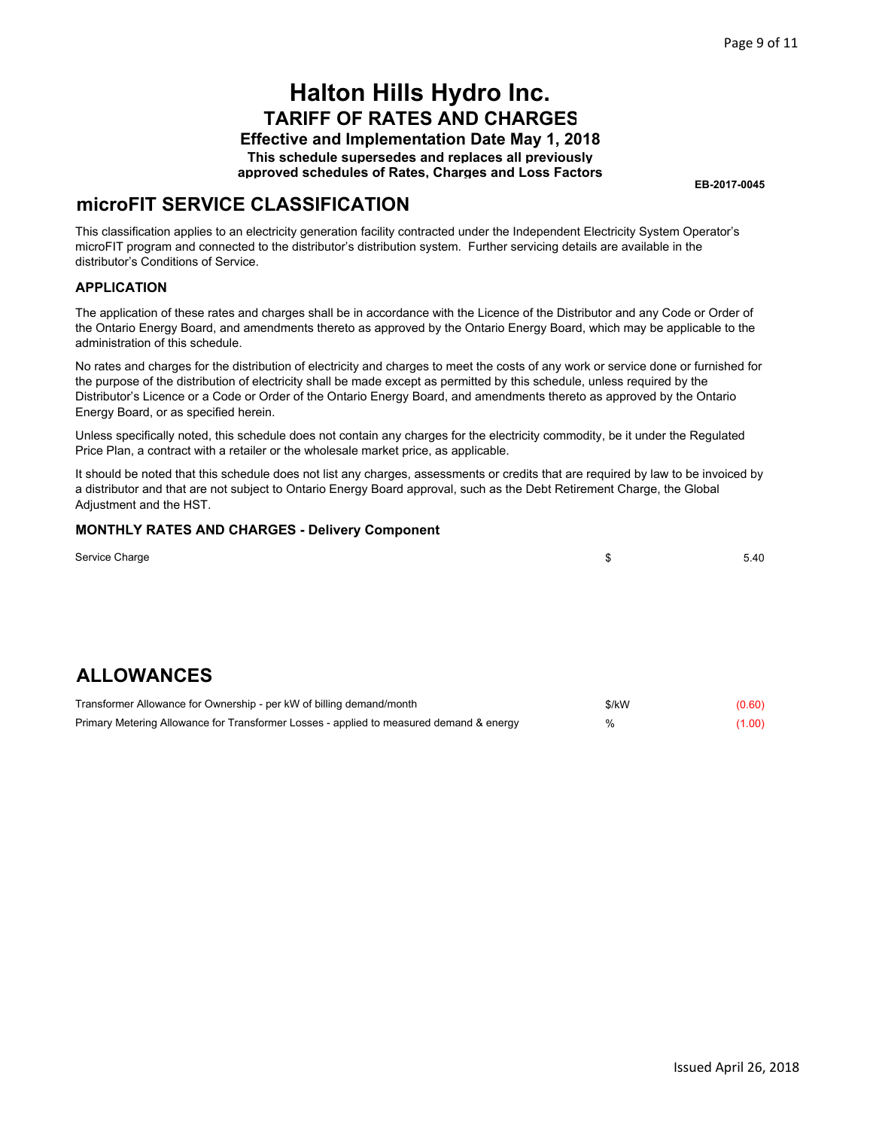**Effective and Implementation Date May 1, 2018 This schedule supersedes and replaces all previously approved schedules of Rates, Charges and Loss Factors**

**EB-2017-0045**

\$ 5.40

### **microFIT SERVICE CLASSIFICATION**

This classification applies to an electricity generation facility contracted under the Independent Electricity System Operator's microFIT program and connected to the distributor's distribution system. Further servicing details are available in the distributor's Conditions of Service.

### **APPLICATION**

The application of these rates and charges shall be in accordance with the Licence of the Distributor and any Code or Order of the Ontario Energy Board, and amendments thereto as approved by the Ontario Energy Board, which may be applicable to the administration of this schedule.

No rates and charges for the distribution of electricity and charges to meet the costs of any work or service done or furnished for the purpose of the distribution of electricity shall be made except as permitted by this schedule, unless required by the Distributor's Licence or a Code or Order of the Ontario Energy Board, and amendments thereto as approved by the Ontario Energy Board, or as specified herein.

Unless specifically noted, this schedule does not contain any charges for the electricity commodity, be it under the Regulated Price Plan, a contract with a retailer or the wholesale market price, as applicable.

It should be noted that this schedule does not list any charges, assessments or credits that are required by law to be invoiced by a distributor and that are not subject to Ontario Energy Board approval, such as the Debt Retirement Charge, the Global Adjustment and the HST.

### **MONTHLY RATES AND CHARGES - Delivery Component**

| Service Charge |  |
|----------------|--|
|                |  |

## **ALLOWANCES**

| Transformer Allowance for Ownership - per kW of billing demand/month                    | \$/kW | (0.60) |
|-----------------------------------------------------------------------------------------|-------|--------|
| Primary Metering Allowance for Transformer Losses - applied to measured demand & energy | $\%$  | (1.00) |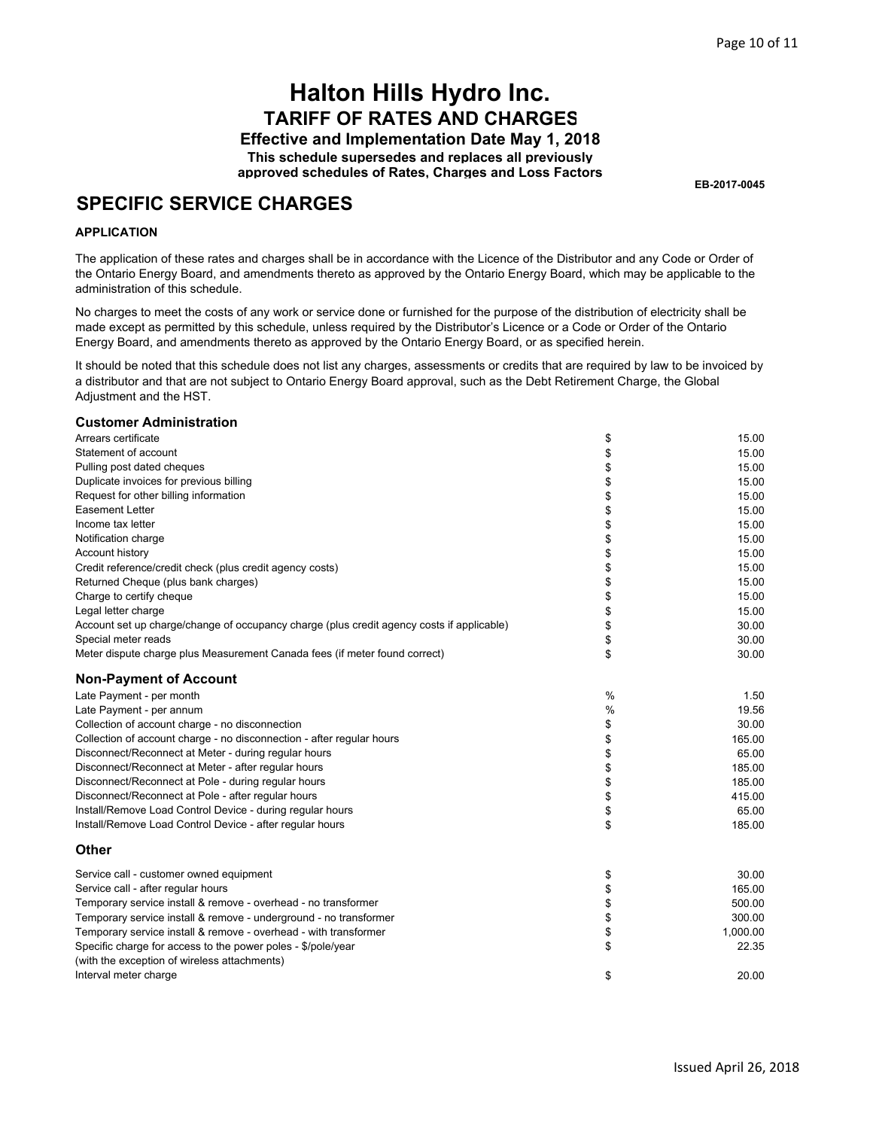**Effective and Implementation Date May 1, 2018 This schedule supersedes and replaces all previously approved schedules of Rates, Charges and Loss Factors**

**EB-2017-0045**

### **SPECIFIC SERVICE CHARGES**

#### **APPLICATION**

The application of these rates and charges shall be in accordance with the Licence of the Distributor and any Code or Order of the Ontario Energy Board, and amendments thereto as approved by the Ontario Energy Board, which may be applicable to the administration of this schedule.

No charges to meet the costs of any work or service done or furnished for the purpose of the distribution of electricity shall be made except as permitted by this schedule, unless required by the Distributor's Licence or a Code or Order of the Ontario Energy Board, and amendments thereto as approved by the Ontario Energy Board, or as specified herein.

It should be noted that this schedule does not list any charges, assessments or credits that are required by law to be invoiced by a distributor and that are not subject to Ontario Energy Board approval, such as the Debt Retirement Charge, the Global Adjustment and the HST.

#### **Customer Administration**

| Arrears certificate                                                                       | \$            | 15.00    |
|-------------------------------------------------------------------------------------------|---------------|----------|
| Statement of account                                                                      | \$            | 15.00    |
| Pulling post dated cheques                                                                | \$            | 15.00    |
| Duplicate invoices for previous billing                                                   | \$            | 15.00    |
| Request for other billing information                                                     | \$            | 15.00    |
| <b>Easement Letter</b>                                                                    | \$            | 15.00    |
| Income tax letter                                                                         | \$            | 15.00    |
| Notification charge                                                                       | \$            | 15.00    |
| Account history                                                                           | \$            | 15.00    |
| Credit reference/credit check (plus credit agency costs)                                  | \$            | 15.00    |
| Returned Cheque (plus bank charges)                                                       | \$            | 15.00    |
| Charge to certify cheque                                                                  | \$            | 15.00    |
| Legal letter charge                                                                       | \$            | 15.00    |
| Account set up charge/change of occupancy charge (plus credit agency costs if applicable) | \$            | 30.00    |
| Special meter reads                                                                       | \$            | 30.00    |
| Meter dispute charge plus Measurement Canada fees (if meter found correct)                | \$            | 30.00    |
| <b>Non-Payment of Account</b>                                                             |               |          |
| Late Payment - per month                                                                  | $\frac{0}{0}$ | 1.50     |
| Late Payment - per annum                                                                  | %             | 19.56    |
| Collection of account charge - no disconnection                                           | \$            | 30.00    |
| Collection of account charge - no disconnection - after regular hours                     | \$            | 165.00   |
| Disconnect/Reconnect at Meter - during regular hours                                      | \$            | 65.00    |
| Disconnect/Reconnect at Meter - after regular hours                                       | \$            | 185.00   |
| Disconnect/Reconnect at Pole - during regular hours                                       | \$            | 185.00   |
| Disconnect/Reconnect at Pole - after regular hours                                        | \$            | 415.00   |
| Install/Remove Load Control Device - during regular hours                                 | \$            | 65.00    |
| Install/Remove Load Control Device - after regular hours                                  | \$            | 185.00   |
| <b>Other</b>                                                                              |               |          |
| Service call - customer owned equipment                                                   | \$            | 30.00    |
| Service call - after regular hours                                                        | \$            | 165.00   |
| Temporary service install & remove - overhead - no transformer                            | \$            | 500.00   |
| Temporary service install & remove - underground - no transformer                         | \$            | 300.00   |
| Temporary service install & remove - overhead - with transformer                          | \$            | 1,000.00 |
| Specific charge for access to the power poles - \$/pole/year                              | \$            | 22.35    |
| (with the exception of wireless attachments)                                              |               |          |
| Interval meter charge                                                                     | \$            | 20.00    |
|                                                                                           |               |          |